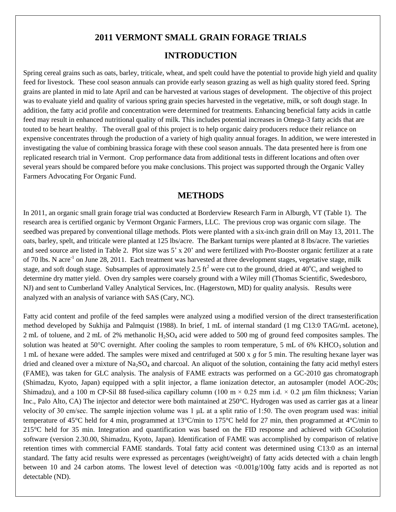# **2011 VERMONT SMALL GRAIN FORAGE TRIALS**

## **INTRODUCTION**

Spring cereal grains such as oats, barley, triticale, wheat, and spelt could have the potential to provide high yield and quality feed for livestock. These cool season annuals can provide early season grazing as well as high quality stored feed. Spring grains are planted in mid to late April and can be harvested at various stages of development. The objective of this project was to evaluate yield and quality of various spring grain species harvested in the vegetative, milk, or soft dough stage. In addition, the fatty acid profile and concentration were determined for treatments. Enhancing beneficial fatty acids in cattle feed may result in enhanced nutritional quality of milk. This includes potential increases in Omega-3 fatty acids that are touted to be heart healthy. The overall goal of this project is to help organic dairy producers reduce their reliance on expensive concentrates through the production of a variety of high quality annual forages. In addition, we were interested in investigating the value of combining brassica forage with these cool season annuals. The data presented here is from one replicated research trial in Vermont. Crop performance data from additional tests in different locations and often over several years should be compared before you make conclusions. This project was supported through the Organic Valley Farmers Advocating For Organic Fund.

## **METHODS**

In 2011, an organic small grain forage trial was conducted at Borderview Research Farm in Alburgh, VT (Table 1). The research area is certified organic by Vermont Organic Farmers, LLC. The previous crop was organic corn silage. The seedbed was prepared by conventional tillage methods. Plots were planted with a six-inch grain drill on May 13, 2011. The oats, barley, spelt, and triticale were planted at 125 lbs/acre. The Barkant turnips were planted at 8 lbs/acre. The varieties and seed source are listed in Table 2. Plot size was 5' x 20' and were fertilized with Pro-Booster organic fertilizer at a rate of 70 lbs. N acre<sup>-1</sup> on June 28, 2011. Each treatment was harvested at three development stages, vegetative stage, milk stage, and soft dough stage. Subsamples of approximately 2.5 ft<sup>2</sup> were cut to the ground, dried at  $40^{\circ}$ C, and weighed to determine dry matter yield. Oven dry samples were coarsely ground with a Wiley mill (Thomas Scientific, Swedesboro, NJ) and sent to Cumberland Valley Analytical Services, Inc. (Hagerstown, MD) for quality analysis. Results were analyzed with an analysis of variance with SAS (Cary, NC).

Fatty acid content and profile of the feed samples were analyzed using a modified version of the direct transesterification method developed by Sukhija and Palmquist (1988). In brief, 1 mL of internal standard (1 mg C13:0 TAG/mL acetone), 2 mL of toluene, and 2 mL of 2% methanolic H<sub>2</sub>SO<sub>4</sub> acid were added to 500 mg of ground feed composites samples. The solution was heated at 50 $\degree$ C overnight. After cooling the samples to room temperature, 5 mL of 6% KHCO<sub>3</sub> solution and 1 mL of hexane were added. The samples were mixed and centrifuged at 500 x *g* for 5 min. The resulting hexane layer was dried and cleaned over a mixture of  $Na<sub>2</sub>SO<sub>4</sub>$  and charcoal. An aliquot of the solution, containing the fatty acid methyl esters (FAME), was taken for GLC analysis. The analysis of FAME extracts was performed on a GC-2010 gas chromatograph (Shimadzu, Kyoto, Japan) equipped with a split injector, a flame ionization detector, an autosampler (model AOC-20s; Shimadzu), and a 100 m CP-Sil 88 fused-silica capillary column (100 m  $\times$  0.25 mm i.d.  $\times$  0.2 µm film thickness; Varian Inc., Palo Alto, CA) The injector and detector were both maintained at 250°C. Hydrogen was used as carrier gas at a linear velocity of 30 cm/sec. The sample injection volume was 1 μL at a split ratio of 1:50. The oven program used was: initial temperature of 45°C held for 4 min, programmed at 13°C/min to 175°C held for 27 min, then programmed at 4°C/min to 215°C held for 35 min. Integration and quantification was based on the FID response and achieved with GCsolution software (version 2.30.00, Shimadzu, Kyoto, Japan). Identification of FAME was accomplished by comparison of relative retention times with commercial FAME standards. Total fatty acid content was determined using C13:0 as an internal standard. The fatty acid results were expressed as percentages (weight/weight) of fatty acids detected with a chain length between 10 and 24 carbon atoms. The lowest level of detection was <0.001g/100g fatty acids and is reported as not detectable (ND).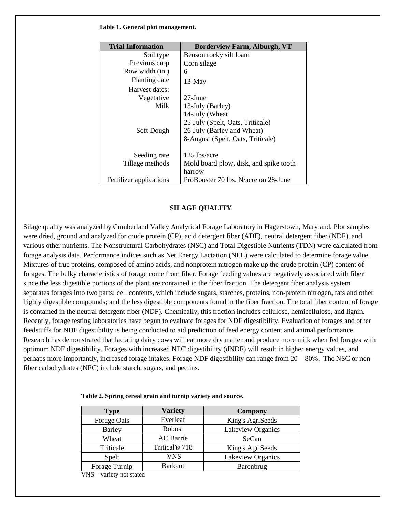#### **Table 1. General plot management.**

| <b>Trial Information</b> | <b>Borderview Farm, Alburgh, VT</b>    |
|--------------------------|----------------------------------------|
| Soil type                | Benson rocky silt loam                 |
| Previous crop            | Corn silage                            |
| Row width (in.)          | 6                                      |
| Planting date            | $13-May$                               |
| Harvest dates:           |                                        |
| Vegetative               | $27$ -June                             |
| Milk                     | 13-July (Barley)                       |
|                          | 14-July (Wheat                         |
|                          | 25-July (Spelt, Oats, Triticale)       |
| Soft Dough               | 26-July (Barley and Wheat)             |
|                          | 8-August (Spelt, Oats, Triticale)      |
|                          |                                        |
| Seeding rate             | 125 lbs/acre                           |
| Tillage methods          | Mold board plow, disk, and spike tooth |
|                          | harrow                                 |
| Fertilizer applications  | ProBooster 70 lbs. N/acre on 28-June   |

### **SILAGE QUALITY**

Silage quality was analyzed by Cumberland Valley Analytical Forage Laboratory in Hagerstown, Maryland. Plot samples were dried, ground and analyzed for crude protein (CP), acid detergent fiber (ADF), neutral detergent fiber (NDF), and various other nutrients. The Nonstructural Carbohydrates (NSC) and Total Digestible Nutrients (TDN) were calculated from forage analysis data. Performance indices such as Net Energy Lactation (NEL) were calculated to determine forage value. Mixtures of true proteins, composed of amino acids, and nonprotein nitrogen make up the crude protein (CP) content of forages. The bulky characteristics of forage come from fiber. Forage feeding values are negatively associated with fiber since the less digestible portions of the plant are contained in the fiber fraction. The detergent fiber analysis system separates forages into two parts: cell contents, which include sugars, starches, proteins, non-protein nitrogen, fats and other highly digestible compounds; and the less digestible components found in the fiber fraction. The total fiber content of forage is contained in the neutral detergent fiber (NDF). Chemically, this fraction includes cellulose, hemicellulose, and lignin. Recently, forage testing laboratories have begun to evaluate forages for NDF digestibility. Evaluation of forages and other feedstuffs for NDF digestibility is being conducted to aid prediction of feed energy content and animal performance. Research has demonstrated that lactating dairy cows will eat more dry matter and produce more milk when fed forages with optimum NDF digestibility. Forages with increased NDF digestibility (dNDF) will result in higher energy values, and perhaps more importantly, increased forage intakes. Forage NDF digestibility can range from 20 – 80%. The NSC or nonfiber carbohydrates (NFC) include starch, sugars, and pectins.

| <b>Type</b>   | <b>Variety</b>            | <b>Company</b>    |
|---------------|---------------------------|-------------------|
| Forage Oats   | Everleaf                  | King's AgriSeeds  |
| <b>Barley</b> | Robust                    | Lakeview Organics |
| Wheat         | <b>AC</b> Barrie          | SeCan             |
| Triticale     | Tritical <sup>®</sup> 718 | King's AgriSeeds  |
| Spelt         | <b>VNS</b>                | Lakeview Organics |
| Forage Turnip | <b>Barkant</b>            | Barenbrug         |
| <b>TTTC</b>   |                           |                   |

 **Table 2. Spring cereal grain and turnip variety and source.**

VNS – variety not stated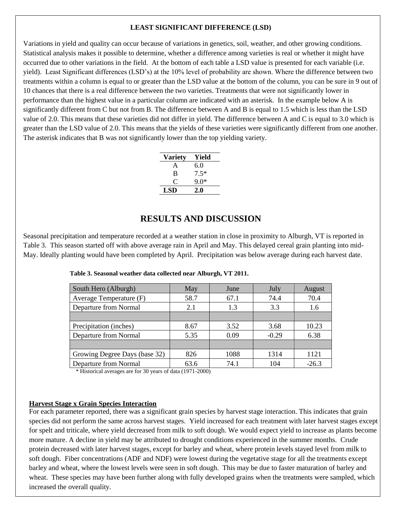### **LEAST SIGNIFICANT DIFFERENCE (LSD)**

Variations in yield and quality can occur because of variations in genetics, soil, weather, and other growing conditions. Statistical analysis makes it possible to determine, whether a difference among varieties is real or whether it might have occurred due to other variations in the field. At the bottom of each table a LSD value is presented for each variable (i.e. yield). Least Significant differences (LSD's) at the 10% level of probability are shown. Where the difference between two treatments within a column is equal to or greater than the LSD value at the bottom of the column, you can be sure in 9 out of 10 chances that there is a real difference between the two varieties. Treatments that were not significantly lower in performance than the highest value in a particular column are indicated with an asterisk. In the example below A is significantly different from C but not from B. The difference between A and B is equal to 1.5 which is less than the LSD value of 2.0. This means that these varieties did not differ in yield. The difference between A and C is equal to 3.0 which is greater than the LSD value of 2.0. This means that the yields of these varieties were significantly different from one another. The asterisk indicates that B was not significantly lower than the top yielding variety.

| <b>Variety</b> | Yield  |
|----------------|--------|
| A              | 6.0    |
| B              | $7.5*$ |
| 0              | ዓ በ*   |
| LSD            | 2.0    |

## **RESULTS AND DISCUSSION**

Seasonal precipitation and temperature recorded at a weather station in close in proximity to Alburgh, VT is reported in Table 3. This season started off with above average rain in April and May. This delayed cereal grain planting into mid-May. Ideally planting would have been completed by April. Precipitation was below average during each harvest date.

| South Hero (Alburgh)          | May  | June | July    | August  |
|-------------------------------|------|------|---------|---------|
| Average Temperature (F)       | 58.7 | 67.1 | 74.4    | 70.4    |
| Departure from Normal         | 2.1  | 1.3  | 3.3     | 1.6     |
|                               |      |      |         |         |
| Precipitation (inches)        | 8.67 | 3.52 | 3.68    | 10.23   |
| Departure from Normal         | 5.35 | 0.09 | $-0.29$ | 6.38    |
|                               |      |      |         |         |
| Growing Degree Days (base 32) | 826  | 1088 | 1314    | 1121    |
| Departure from Normal         | 63.6 | 74.1 | 104     | $-26.3$ |

**Table 3. Seasonal weather data collected near Alburgh, VT 2011.**

\* Historical averages are for 30 years of data (1971-2000)

#### **Harvest Stage x Grain Species Interaction**

For each parameter reported, there was a significant grain species by harvest stage interaction. This indicates that grain species did not perform the same across harvest stages. Yield increased for each treatment with later harvest stages except for spelt and triticale, where yield decreased from milk to soft dough. We would expect yield to increase as plants become more mature. A decline in yield may be attributed to drought conditions experienced in the summer months. Crude protein decreased with later harvest stages, except for barley and wheat, where protein levels stayed level from milk to soft dough. Fiber concentrations (ADF and NDF) were lowest during the vegetative stage for all the treatments except barley and wheat, where the lowest levels were seen in soft dough. This may be due to faster maturation of barley and wheat. These species may have been further along with fully developed grains when the treatments were sampled, which increased the overall quality.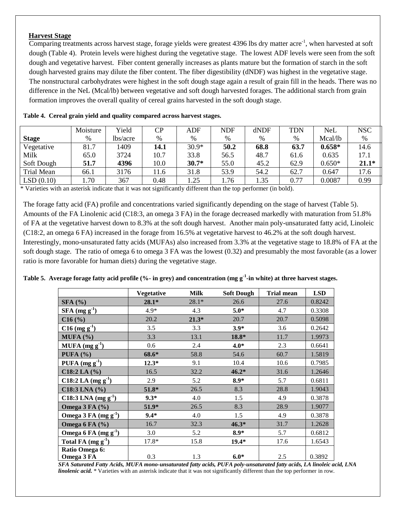## **Harvest Stage**

Comparing treatments across harvest stage, forage yields were greatest 4396 lbs dry matter acre<sup>-1</sup>, when harvested at soft dough (Table 4). Protein levels were highest during the vegetative stage. The lowest ADF levels were seen from the soft dough and vegetative harvest. Fiber content generally increases as plants mature but the formation of starch in the soft dough harvested grains may dilute the fiber content. The fiber digestibility (dNDF) was highest in the vegetative stage. The nonstructural carbohydrates were highest in the soft dough stage again a result of grain fill in the heads. There was no difference in the NeL (Mcal/lb) between vegetative and soft dough harvested forages. The additional starch from grain formation improves the overall quality of cereal grains harvested in the soft dough stage.

|              | Moisture | Yield    | CP   | ADF     | <b>NDF</b> | dNDF | TDN  | <b>NeL</b> | <b>NSC</b> |
|--------------|----------|----------|------|---------|------------|------|------|------------|------------|
| <b>Stage</b> | %        | lbs/acre | $\%$ | $\%$    | %          | $\%$ | $\%$ | Mcal/lb    | %          |
| Vegetative   | 81.7     | 1409     | 14.1 | $30.9*$ | 50.2       | 68.8 | 63.7 | $0.658*$   | 14.6       |
| Milk         | 65.0     | 3724     | 10.7 | 33.8    | 56.5       | 48.7 | 61.6 | 0.635      | 17.1       |
| Soft Dough   | 51.7     | 4396     | 10.0 | $30.7*$ | 55.0       | 45.2 | 62.9 | $0.650*$   | $21.1*$    |
| Trial Mean   | 66.1     | 3176     | 11.6 | 31.8    | 53.9       | 54.2 | 62.7 | 0.647      | 17.6       |
| LSD(0.10)    | .70      | 367      | 0.48 | 1.25    | .76        | 1.35 | 0.77 | 0.0087     | 0.99       |

**Table 4. Cereal grain yield and quality compared across harvest stages.**

\* Varieties with an asterisk indicate that it was not significantly different than the top performer (in bold).

The forage fatty acid (FA) profile and concentrations varied significantly depending on the stage of harvest (Table 5). Amounts of the FA Linolenic acid (C18:3, an omega 3 FA) in the forage decreased markedly with maturation from 51.8% of FA at the vegetative harvest down to 8.3% at the soft dough harvest. Another main poly-unsaturated fatty acid, Linoleic (C18:2, an omega 6 FA) increased in the forage from 16.5% at vegetative harvest to 46.2% at the soft dough harvest. Interestingly, mono-unsaturated fatty acids (MUFAs) also increased from 3.3% at the vegetative stage to 18.8% of FA at the soft dough stage. The ratio of omega 6 to omega 3 FA was the lowest (0.32) and presumably the most favorable (as a lower ratio is more favorable for human diets) during the vegetative stage.

**Table 5. Average forage fatty acid profile (%- in grey) and concentration (mg g-1 -in white) at three harvest stages.**

|                                    | Vegetative | Milk    | <b>Soft Dough</b> | <b>Trial mean</b> | <b>LSD</b> |
|------------------------------------|------------|---------|-------------------|-------------------|------------|
| <b>SFA</b> (%)                     | $28.1*$    | $28.1*$ | 26.6              | 27.6              | 0.8242     |
| $SFA (mg g-1)$                     | $4.9*$     | 4.3     | $5.0*$            | 4.7               | 0.3308     |
| C16(%)                             | 20.2       | $21.3*$ | 20.7              | 20.7              | 0.5098     |
| $C16$ (mg g <sup>-1</sup> )        | 3.5        | 3.3     | $3.9*$            | 3.6               | 0.2642     |
| MUFA (%)                           | 3.3        | 13.1    | 18.8*             | 11.7              | 1.9973     |
| MUFA $(mg g^{-1})$                 | 0.6        | 2.4     | $4.0*$            | 2.3               | 0.6641     |
| PUFA $(%)$                         | 68.6*      | 58.8    | 54.6              | 60.7              | 1.5819     |
| PUFA $(mg g^{-1})$                 | $12.3*$    | 9.1     | 10.4              | 10.6              | 0.7985     |
| $C18:2$ LA $(\%)$                  | 16.5       | 32.2    | $46.2*$           | 31.6              | 1.2646     |
| C18:2 LA $(mg g-1)$                | 2.9        | 5.2     | $8.9*$            | 5.7               | 0.6811     |
| $C18:3$ LNA $(\% )$                | $51.8*$    | 26.5    | 8.3               | 28.8              | 1.9043     |
| C18:3 LNA $(mg g-1)$               | $9.3*$     | 4.0     | 1.5               | 4.9               | 0.3878     |
| Omega $3$ FA $(%)$                 | 51.9*      | 26.5    | 8.3               | 28.9              | 1.9077     |
| Omega $3$ FA (mg g <sup>-1</sup> ) | $9.4*$     | 4.0     | 1.5               | 4.9               | 0.3878     |
| Omega 6 FA (%)                     | 16.7       | 32.3    | $46.3*$           | 31.7              | 1.2628     |
| Omega 6 FA $(mg g-1)$              | 3.0        | 5.2     | $8.9*$            | 5.7               | 0.6812     |
| Total FA $(mg g-1)$                | 17.8*      | 15.8    | $19.4*$           | 17.6              | 1.6543     |
| Ratio Omega 6:                     |            |         |                   |                   |            |
| Omega 3 FA                         | 0.3        | 1.3     | $6.0*$            | 2.5               | 0.3892     |

*SFA Saturated Fatty Acids, MUFA mono-unsaturated fatty acids, PUFA poly-unsaturated fatty acids, LA linoleic acid, LNA linolenic acid.* \* Varieties with an asterisk indicate that it was not significantly different than the top performer in row.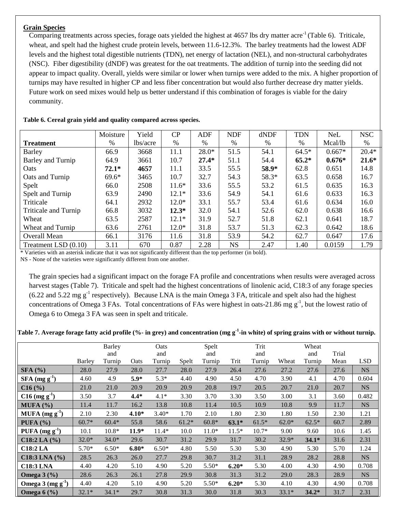### **Grain Species**

Comparing treatments across species, forage oats yielded the highest at 4657 lbs dry matter acre<sup>-1</sup> (Table 6). Triticale, wheat, and spelt had the highest crude protein levels, between 11.6-12.3%. The barley treatments had the lowest ADF levels and the highest total digestible nutrients (TDN), net energy of lactation (NEL), and non-structural carbohydrates (NSC). Fiber digestibility (dNDF) was greatest for the oat treatments. The addition of turnip into the seeding did not appear to impact quality. Overall, yields were similar or lower when turnips were added to the mix. A higher proportion of turnips may have resulted in higher CP and less fiber concentration but would also further decrease dry matter yields. Future work on seed mixes would help us better understand if this combination of forages is viable for the dairy community.

|                             | Moisture | Yield    | CP      | ADF     | <b>NDF</b> | dNDF  | <b>TDN</b>    | NeL      | <b>NSC</b> |
|-----------------------------|----------|----------|---------|---------|------------|-------|---------------|----------|------------|
| <b>Treatment</b>            | $\%$     | lbs/acre | %       | %       | %          | %     | $\frac{0}{0}$ | Mcal/lb  | $\%$       |
| Barley                      | 66.9     | 3668     | 11.1    | $28.0*$ | 51.5       | 54.1  | $64.5*$       | $0.667*$ | $20.4*$    |
| Barley and Turnip           | 64.9     | 3661     | 10.7    | $27.4*$ | 51.1       | 54.4  | $65.2*$       | $0.676*$ | $21.6*$    |
| <b>Oats</b>                 | $72.1*$  | 4657     | 11.1    | 33.5    | 55.5       | 58.9* | 62.8          | 0.651    | 14.8       |
| Oats and Turnip             | $69.6*$  | 3465     | 10.7    | 32.7    | 54.3       | 58.3* | 63.5          | 0.658    | 16.7       |
| Spelt                       | 66.0     | 2508     | $11.6*$ | 33.6    | 55.5       | 53.2  | 61.5          | 0.635    | 16.3       |
| Spelt and Turnip            | 63.9     | 2490     | $12.1*$ | 33.6    | 54.9       | 54.1  | 61.6          | 0.633    | 16.3       |
| Triticale                   | 64.1     | 2932     | $12.0*$ | 33.1    | 55.7       | 53.4  | 61.6          | 0.634    | 16.0       |
| <b>Triticale and Turnip</b> | 66.8     | 3032     | $12.3*$ | 32.0    | 54.1       | 52.6  | 62.0          | 0.638    | 16.6       |
| Wheat                       | 63.5     | 2587     | $12.1*$ | 31.9    | 52.7       | 51.8  | 62.1          | 0.641    | 18.7       |
| Wheat and Turnip            | 63.6     | 2761     | $12.0*$ | 31.8    | 53.7       | 51.3  | 62.3          | 0.642    | 18.6       |
| <b>Overall Mean</b>         | 66.1     | 3176     | 11.6    | 31.8    | 53.9       | 54.2  | 62.7          | 0.647    | 17.6       |
| Treatment LSD $(0.10)$      | 3.11     | 670      | 0.87    | 2.28    | <b>NS</b>  | 2.47  | 1.40          | 0.0159   | 1.79       |

#### **Table 6. Cereal grain yield and quality compared across species.**

\* Varieties with an asterisk indicate that it was not significantly different than the top performer (in bold). NS - None of the varieties were significantly different from one another.

The grain species had a significant impact on the forage FA profile and concentrations when results were averaged across harvest stages (Table 7). Triticale and spelt had the highest concentrations of linolenic acid, C18:3 of any forage species  $(6.22 \text{ and } 5.22 \text{ mg g}^{-1}$  respectively). Because LNA is the main Omega 3 FA, triticale and spelt also had the highest concentrations of Omega 3 FAs. Total concentrations of FAs were highest in oats-21.86 mg  $g^{-1}$ , but the lowest ratio of Omega 6 to Omega 3 FA was seen in spelt and triticale.

#### **Table 7. Average forage fatty acid profile (%- in grey) and concentration (mg g-1 -in white) of spring grains with or without turnip.**

|                             |         | <b>Barley</b> |         | Oats    |         | Spelt   |         | Trit    |         | Wheat   |       |            |
|-----------------------------|---------|---------------|---------|---------|---------|---------|---------|---------|---------|---------|-------|------------|
|                             |         | and           |         | and     |         | and     |         | and     |         | and     | Trial |            |
|                             | Barley  | Turnip        | Oats    | Turnip  | Spelt   | Turnip  | Trit    | Turnip  | Wheat   | Turnip  | Mean  | <b>LSD</b> |
| SFA(%)                      | 28.0    | 27.9          | 28.0    | 27.7    | 28.0    | 27.9    | 26.4    | 27.6    | 27.2    | 27.6    | 27.6  | <b>NS</b>  |
| $SFA$ (mg g <sup>-1</sup> ) | 4.60    | 4.9           | $5.9*$  | $5.3*$  | 4.40    | 4.90    | 4.50    | 4.70    | 3.90    | 4.1     | 4.70  | 0.604      |
| C16(%)                      | 21.0    | 21.0          | 20.9    | 20.9    | 20.9    | 20.8    | 19.7    | 20.5    | 20.7    | 21.0    | 20.7  | <b>NS</b>  |
| $C16$ (mg g <sup>-1</sup> ) | 3.50    | 3.7           | $4.4*$  | $4.1*$  | 3.30    | 3.70    | 3.30    | 3.50    | 3.00    | 3.1     | 3.60  | 0.482      |
| MUFA (%)                    | 11.4    | 11.7          | 16.2    | 13.8    | 10.8    | 11.4    | 10.5    | 10.9    | 10.8    | 9.9     | 11.7  | <b>NS</b>  |
| $MUPA (mg g-1)$             | 2.10    | 2.30          | $4.10*$ | $3.40*$ | 1.70    | 2.10    | 1.80    | 2.30    | 1.80    | 1.50    | 2.30  | 1.21       |
| PUFA $(%)$                  | $60.7*$ | $60.4*$       | 55.8    | 58.6    | $61.2*$ | $60.8*$ | $63.1*$ | $61.5*$ | $62.0*$ | $62.5*$ | 60.7  | 2.89       |
| PUFA $(mg g^{-1})$          | 10.1    | $10.8*$       | $11.9*$ | $11.4*$ | 10.0    | $11.0*$ | $11.5*$ | $10.7*$ | 9.00    | 9.60    | 10.6  | 1.45       |
| $C18:2$ LA $(\% )$          | $32.0*$ | $34.0*$       | 29.6    | 30.7    | 31.2    | 29.9    | 31.7    | 30.2    | 32.9*   | $34.1*$ | 31.6  | 2.31       |
| <b>C18:2 LA</b>             | $5.70*$ | $6.50*$       | $6.80*$ | $6.50*$ | 4.80    | 5.50    | 5.30    | 5.30    | 4.90    | 5.30    | 5.70  | 1.24       |
| $C18:3$ LNA $(%)$           | 28.5    | 26.3          | 26.0    | 27.7    | 29.8    | 30.7    | 31.2    | 31.1    | 28.9    | 28.2    | 28.8  | <b>NS</b>  |
| <b>C18:3 LNA</b>            | 4.40    | 4.20          | 5.10    | 4.90    | 5.20    | $5.50*$ | $6.20*$ | 5.30    | 4.00    | 4.30    | 4.90  | 0.708      |
| Omega $3$ $(\frac{9}{6})$   | 28.6    | 26.3          | 26.1    | 27.8    | 29.9    | 30.8    | 31.3    | 31.2    | 29.0    | 28.3    | 28.9  | <b>NS</b>  |
| Omega $3 \text{ (mg g}^1)$  | 4.40    | 4.20          | 5.10    | 4.90    | 5.20    | $5.50*$ | $6.20*$ | 5.30    | 4.10    | 4.30    | 4.90  | 0.708      |
| Omega $6$ (%)               | $32.1*$ | $34.1*$       | 29.7    | 30.8    | 31.3    | 30.0    | 31.8    | 30.3    | $33.1*$ | $34.2*$ | 31.7  | 2.31       |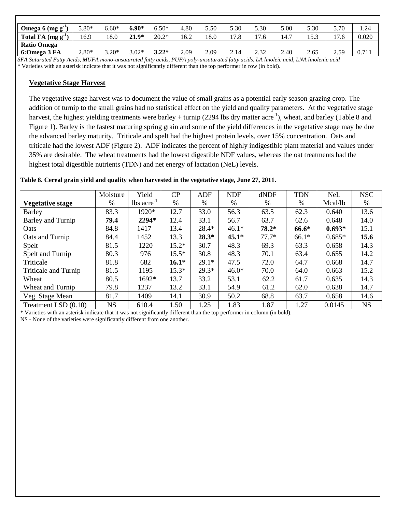| Omega 6 $(mg g-1)$                                                                                                                    | 5.80*   | $6.60*$ | $6.90*$ | $6.50*$ | 4.80 | 5.50 | 5.30 | 5.30 | 5.00 | 5.30 | 5.70         |       |
|---------------------------------------------------------------------------------------------------------------------------------------|---------|---------|---------|---------|------|------|------|------|------|------|--------------|-------|
| Total FA $(mg g-1)$                                                                                                                   | 16.9    | 18.0    | $21.9*$ | $20.2*$ | 16.2 | 18.0 |      | 17.6 | 14.7 | 5.3  | $\mathbf{7}$ | 0.020 |
| <b>Ratio Omega</b>                                                                                                                    |         |         |         |         |      |      |      |      |      |      |              |       |
| 6:Omega 3 FA                                                                                                                          | $2.80*$ | $3.20*$ | $3.02*$ | $3.22*$ | 2.09 | 2.09 | 2.14 | 2.32 | 2.40 | 2.65 | 2.59         |       |
| SFA Saturated Fatty Acids, MUFA mono-unsaturated fatty acids, PUFA poly-unsaturated fatty acids, LA linoleic acid, LNA linolenic acid |         |         |         |         |      |      |      |      |      |      |              |       |

\* Varieties with an asterisk indicate that it was not significantly different than the top performer in row (in bold).

### **Vegetative Stage Harvest**

The vegetative stage harvest was to document the value of small grains as a potential early season grazing crop. The addition of turnip to the small grains had no statistical effect on the yield and quality parameters. At the vegetative stage harvest, the highest yielding treatments were barley + turnip (2294 lbs dry matter acre<sup>-1</sup>), wheat, and barley (Table 8 and Figure 1). Barley is the fastest maturing spring grain and some of the yield differences in the vegetative stage may be due the advanced barley maturity. Triticale and spelt had the highest protein levels, over 15% concentration. Oats and triticale had the lowest ADF (Figure 2). ADF indicates the percent of highly indigestible plant material and values under 35% are desirable. The wheat treatments had the lowest digestible NDF values, whereas the oat treatments had the highest total digestible nutrients (TDN) and net energy of lactation (NeL) levels.

|  |  |  |  | Table 8. Cereal grain yield and quality when harvested in the vegetative stage, June 27, 2011. |
|--|--|--|--|------------------------------------------------------------------------------------------------|
|--|--|--|--|------------------------------------------------------------------------------------------------|

|                             | Moisture  | Yield                    | CP      | <b>ADF</b> | <b>NDF</b> | dNDF    | <b>TDN</b> | <b>NeL</b> | <b>NSC</b> |
|-----------------------------|-----------|--------------------------|---------|------------|------------|---------|------------|------------|------------|
| <b>Vegetative stage</b>     | $\%$      | $lbs$ acre <sup>-1</sup> | %       | %          | %          | %       | $\%$       | Mcal/lb    | $\%$       |
| <b>Barley</b>               | 83.3      | 1920*                    | 12.7    | 33.0       | 56.3       | 63.5    | 62.3       | 0.640      | 13.6       |
| Barley and Turnip           | 79.4      | 2294*                    | 12.4    | 33.1       | 56.7       | 63.7    | 62.6       | 0.648      | 14.0       |
| Oats                        | 84.8      | 1417                     | 13.4    | $28.4*$    | $46.1*$    | $78.2*$ | 66.6*      | $0.693*$   | 15.1       |
| Oats and Turnip             | 84.4      | 1452                     | 13.3    | $28.3*$    | $45.1*$    | $77.7*$ | $66.1*$    | $0.685*$   | 15.6       |
| Spelt                       | 81.5      | 1220                     | $15.2*$ | 30.7       | 48.3       | 69.3    | 63.3       | 0.658      | 14.3       |
| Spelt and Turnip            | 80.3      | 976                      | $15.5*$ | 30.8       | 48.3       | 70.1    | 63.4       | 0.655      | 14.2       |
| Triticale                   | 81.8      | 682                      | $16.1*$ | $29.1*$    | 47.5       | 72.0    | 64.7       | 0.668      | 14.7       |
| <b>Triticale and Turnip</b> | 81.5      | 1195                     | $15.3*$ | $29.3*$    | $46.0*$    | 70.0    | 64.0       | 0.663      | 15.2       |
| Wheat                       | 80.5      | 1692*                    | 13.7    | 33.2       | 53.1       | 62.2    | 61.7       | 0.635      | 14.3       |
| Wheat and Turnip            | 79.8      | 1237                     | 13.2    | 33.1       | 54.9       | 61.2    | 62.0       | 0.638      | 14.7       |
| Veg. Stage Mean             | 81.7      | 1409                     | 14.1    | 30.9       | 50.2       | 68.8    | 63.7       | 0.658      | 14.6       |
| Treatment LSD (0.10)        | <b>NS</b> | 610.4                    | 1.50    | 1.25       | 1.83       | 1.87    | 1.27       | 0.0145     | <b>NS</b>  |

\* Varieties with an asterisk indicate that it was not significantly different than the top performer in column (in bold).

NS - None of the varieties were significantly different from one another.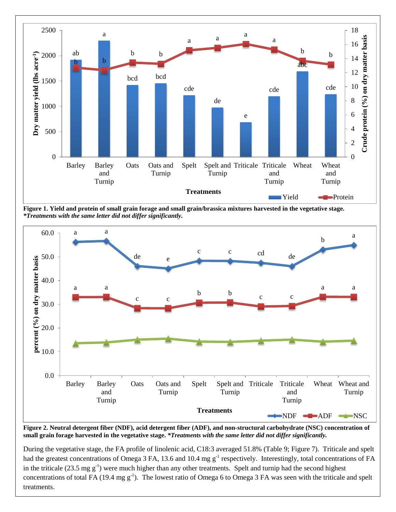

**Figure 1. Yield and protein of small grain forage and small grain/brassica mixtures harvested in the vegetative stage.** *\*Treatments with the same letter did not differ significantly.*



**Figure 2. Neutral detergent fiber (NDF), acid detergent fiber (ADF), and non-structural carbohydrate (NSC) concentration of small grain forage harvested in the vegetative stage.** *\*Treatments with the same letter did not differ significantly.*

During the vegetative stage, the FA profile of linolenic acid, C18:3 averaged 51.8% (Table 9; Figure 7). Triticale and spelt had the greatest concentrations of Omega 3 FA, 13.6 and 10.4 mg  $g^{-1}$  respectively. Interestingly, total concentrations of FA in the triticale (23.5 mg  $g^{-1}$ ) were much higher than any other treatments. Spelt and turnip had the second highest concentrations of total FA (19.4 mg  $g^{-1}$ ). The lowest ratio of Omega 6 to Omega 3 FA was seen with the triticale and spelt treatments.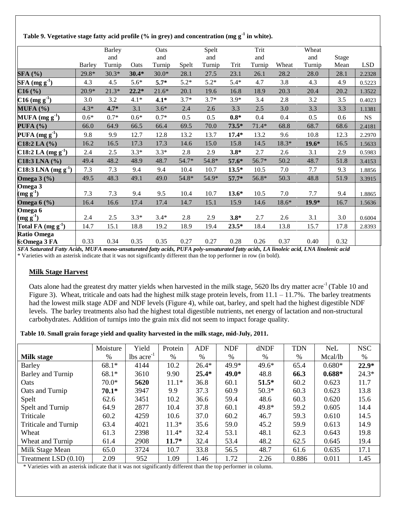### **Table 9. Vegetative stage fatty acid profile (% in grey) and concentration (mg g-1 in white).**

|                                                           |               |               |         |         |        |        |         | Trit    |       | Wheat   |       |             |
|-----------------------------------------------------------|---------------|---------------|---------|---------|--------|--------|---------|---------|-------|---------|-------|-------------|
|                                                           |               | <b>Barley</b> |         | Oats    |        | Spelt  |         |         |       |         |       |             |
|                                                           |               | and           |         | and     |        | and    |         | and     |       | and     | Stage |             |
|                                                           | <b>Barley</b> | Turnip        | Oats    | Turnip  | Spelt  | Turnip | Trit    | Turnip  | Wheat | Turnip  | Mean  | <b>LSD</b>  |
| <b>SFA</b> (%)                                            | 29.8*         | $30.3*$       | $30.4*$ | $30.0*$ | 28.1   | 27.5   | 23.1    | 26.1    | 28.2  | 28.0    | 28.1  | 2.2328      |
| SFA (mg g <sup>1</sup> )                                  | 4.3           | 4.5           | $5.6*$  | $5.7*$  | $5.2*$ | $5.2*$ | $5.4*$  | 4.7     | 3.8   | 4.3     | 4.9   | 0.5223      |
| C16(%)                                                    | $20.9*$       | $21.3*$       | $22.2*$ | $21.6*$ | 20.1   | 19.6   | 16.8    | 18.9    | 20.3  | 20.4    | 20.2  | 1.3522      |
| CI6 (mg g <sup>1</sup> )                                  | 3.0           | 3.2           | $4.1*$  | $4.1*$  | $3.7*$ | $3.7*$ | $3.9*$  | 3.4     | 2.8   | 3.2     | 3.5   | 0.4023      |
| MUFA (%)                                                  | $4.3*$        | $4.7*$        | 3.1     | $3.6*$  | 2.4    | 2.6    | 3.3     | 2.5     | 3.0   | 3.3     | 3.3   | 1.1381      |
| MUFA $(mg g-1)$                                           | $0.6*$        | $0.7*$        | $0.6*$  | $0.7*$  | 0.5    | 0.5    | $0.8*$  | 0.4     | 0.4   | 0.5     | 0.6   | $_{\rm NS}$ |
| PUFA (%)                                                  | 66.0          | 64.9          | 66.5    | 66.4    | 69.5   | 70.0   | $73.5*$ | $71.4*$ | 68.8  | 68.7    | 68.6  | 2.4181      |
| $\left  \text{PUFA} \left( \text{mg g}^1 \right) \right $ | 9.8           | 9.9           | 12.7    | 12.8    | 13.2   | 13.7   | $17.4*$ | 13.2    | 9.6   | 10.8    | 12.3  | 2.2970      |
| $C18:2$ LA $(\%)$                                         | 16.2          | 16.5          | 17.3    | 17.3    | 14.6   | 15.0   | 15.8    | 14.5    | 18.3* | $19.6*$ | 16.5  | 1.5633      |
| C18:2 LA $(mg g-1)$                                       | 2.4           | 2.5           | $3.3*$  | $3.3*$  | 2.8    | 2.9    | $3.8*$  | 2.7     | 2.6   | 3.1     | 2.9   | 0.5983      |
| $C18:3$ LNA $(\%)$                                        | 49.4          | 48.2          | 48.9    | 48.7    | 54.7*  | 54.8*  | 57.6*   | 56.7*   | 50.2  | 48.7    | 51.8  | 3.4153      |
| $C18:3$ LNA (mg g <sup>-1</sup> )                         | 7.3           | 7.3           | 9.4     | 9.4     | 10.4   | 10.7   | $13.5*$ | 10.5    | 7.0   | 7.7     | 9.3   | 1.8856      |
| Omega $3$ (%)                                             | 49.5          | 48.3          | 49.1    | 49.0    | 54.8*  | 54.9*  | $57.7*$ | 56.8*   | 50.3  | 48.8    | 51.9  | 3.3915      |
| Omega 3                                                   |               |               |         |         |        |        |         |         |       |         |       |             |
| $(mg g-1)$                                                | 7.3           | 7.3           | 9.4     | 9.5     | 10.4   | 10.7   | $13.6*$ | 10.5    | 7.0   | 7.7     | 9.4   | 1.8865      |
| Omega $6$ $\frac{6}{6}$                                   | 16.4          | 16.6          | 17.4    | 17.4    | 14.7   | 15.1   | 15.9    | 14.6    | 18.6* | $19.9*$ | 16.7  | 1.5636      |
| Omega 6                                                   |               |               |         |         |        |        |         |         |       |         |       |             |
| $\left(\text{mg g}^1\right)$                              | 2.4           | 2.5           | $3.3*$  | $3.4*$  | 2.8    | 2.9    | $3.8*$  | 2.7     | 2.6   | 3.1     | 3.0   | 0.6004      |
| Total FA $(mg g-1)$                                       | 14.7          | 15.1          | 18.8    | 19.2    | 18.9   | 19.4   | $23.5*$ | 18.4    | 13.8  | 15.7    | 17.8  | 2.8393      |
| <b>Ratio Omega</b>                                        |               |               |         |         |        |        |         |         |       |         |       |             |
| 6:Omega 3 FA                                              | 0.33          | 0.34          | 0.35    | 0.35    | 0.27   | 0.27   | 0.28    | 0.26    | 0.37  | 0.40    | 0.32  |             |

*SFA Saturated Fatty Acids, MUFA mono-unsaturated fatty acids, PUFA poly-unsaturated fatty acids, LA linoleic acid, LNA linolenic acid* \* Varieties with an asterisk indicate that it was not significantly different than the top performer in row (in bold).

## **Milk Stage Harvest**

Oats alone had the greatest dry matter yields when harvested in the milk stage, 5620 lbs dry matter acre<sup>-1</sup> (Table 10 and Figure 3). Wheat, triticale and oats had the highest milk stage protein levels, from  $11.1 - 11.7$ %. The barley treatments had the lowest milk stage ADF and NDF levels (Figure 4), while oat, barley, and spelt had the highest digestible NDF levels. The barley treatments also had the highest total digestible nutrients, net energy of lactation and non-structural carbohydrates. Addition of turnips into the grain mix did not seem to impact forage quality.

#### **Table 10. Small grain forage yield and quality harvested in the milk stage, mid-July, 2011.**

|                      | Moisture | Yield                    | Protein | ADF     | <b>NDF</b> | dNDF    | <b>TDN</b> | <b>NeL</b> | <b>NSC</b> |
|----------------------|----------|--------------------------|---------|---------|------------|---------|------------|------------|------------|
| <b>Milk stage</b>    | %        | $lbs$ acre <sup>-1</sup> | %       | %       | %          | %       | %          | Mcal/lb    | %          |
| <b>Barley</b>        | $68.1*$  | 4144                     | 10.2    | $26.4*$ | 49.9*      | $49.6*$ | 65.4       | $0.680*$   | $22.9*$    |
| Barley and Turnip    | $68.1*$  | 3610                     | 9.90    | $25.4*$ | 49.0*      | 48.8    | 66.3       | $0.688*$   | $24.3*$    |
| Oats                 | $70.0*$  | 5620                     | $11.1*$ | 36.8    | 60.1       | $51.5*$ | 60.2       | 0.623      | 11.7       |
| Oats and Turnip      | $70.1*$  | 3947                     | 9.9     | 37.3    | 60.9       | $50.3*$ | 60.3       | 0.623      | 13.8       |
| Spelt                | 62.6     | 3451                     | 10.2    | 36.6    | 59.4       | 48.6    | 60.3       | 0.620      | 15.6       |
| Spelt and Turnip     | 64.9     | 2877                     | 10.4    | 37.8    | 60.1       | $49.8*$ | 59.2       | 0.605      | 14.4       |
| Triticale            | 60.2     | 4259                     | 10.6    | 37.0    | 60.2       | 46.7    | 59.3       | 0.610      | 14.5       |
| Triticale and Turnip | 63.4     | 4021                     | $11.3*$ | 35.6    | 59.0       | 45.2    | 59.9       | 0.613      | 14.9       |
| Wheat                | 61.3     | 2398                     | $11.4*$ | 32.4    | 53.1       | 48.1    | 62.3       | 0.643      | 19.8       |
| Wheat and Turnip     | 61.4     | 2908                     | $11.7*$ | 32.4    | 53.4       | 48.2    | 62.5       | 0.645      | 19.4       |
| Milk Stage Mean      | 65.0     | 3724                     | 10.7    | 33.8    | 56.5       | 48.7    | 61.6       | 0.635      | 17.1       |
| Treatment LSD (0.10) | 2.09     | 952                      | 1.09    | 1.46    | 1.72       | 2.26    | 0.886      | 0.011      | 1.45       |

\* Varieties with an asterisk indicate that it was not significantly different than the top performer in column.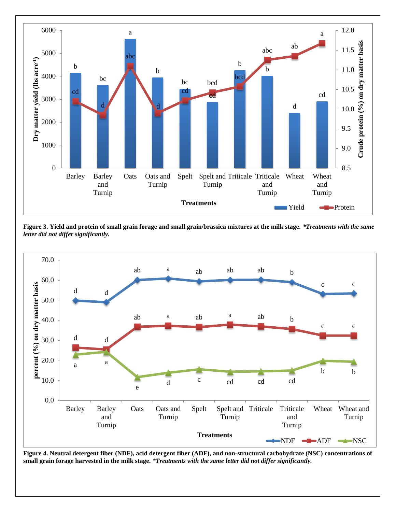

**Figure 3. Yield and protein of small grain forage and small grain/brassica mixtures at the milk stage.** *\*Treatments with the same letter did not differ significantly.*



**Figure 4. Neutral detergent fiber (NDF), acid detergent fiber (ADF), and non-structural carbohydrate (NSC) concentrations of small grain forage harvested in the milk stage.** *\*Treatments with the same letter did not differ significantly.*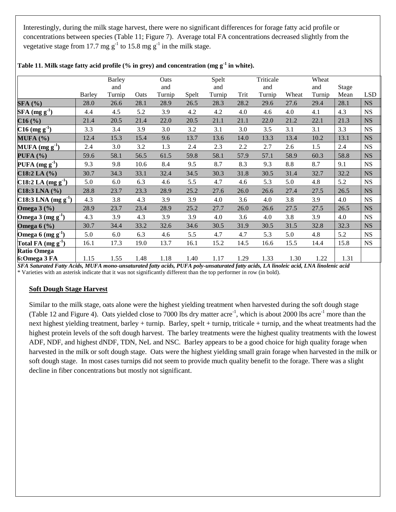Interestingly, during the milk stage harvest, there were no significant differences for forage fatty acid profile or concentrations between species (Table 11; Figure 7). Average total FA concentrations decreased slightly from the vegetative stage from 17.7 mg  $g^{-1}$  to 15.8 mg  $g^{-1}$  in the milk stage.

|                                                                                                                                |               | Barley |                                                                                    | Oats   |                                                                                                                                                        | Spelt  |                                                                                    | Triticale                                                                                                                    |       | Wheat                                                                                                                                                               |                         |            |
|--------------------------------------------------------------------------------------------------------------------------------|---------------|--------|------------------------------------------------------------------------------------|--------|--------------------------------------------------------------------------------------------------------------------------------------------------------|--------|------------------------------------------------------------------------------------|------------------------------------------------------------------------------------------------------------------------------|-------|---------------------------------------------------------------------------------------------------------------------------------------------------------------------|-------------------------|------------|
|                                                                                                                                |               | and    |                                                                                    | and    |                                                                                                                                                        | and    |                                                                                    | and                                                                                                                          |       | and                                                                                                                                                                 | Stage                   |            |
|                                                                                                                                | <b>Barley</b> | Turnip | Oats                                                                               | Turnip | Spelt                                                                                                                                                  | Turnip | Trit                                                                               | Turnip                                                                                                                       | Wheat | Turnip                                                                                                                                                              | Mean                    | <b>LSD</b> |
| SFA(%)                                                                                                                         | 28.0          | 26.6   | 28.1                                                                               | 28.9   | 26.5                                                                                                                                                   | 28.3   | 28.2                                                                               | 29.6                                                                                                                         | 27.6  | 29.4                                                                                                                                                                | 28.1                    | <b>NS</b>  |
| $SFA$ (mg g <sup>-1</sup> )                                                                                                    | 4.4           | 4.5    | 5.2                                                                                | 3.9    | 4.2                                                                                                                                                    | 4.2    | 4.0                                                                                | 4.6                                                                                                                          | 4.0   | 4.1                                                                                                                                                                 | 4.3                     | <b>NS</b>  |
| C16(%)                                                                                                                         | 21.4          | 20.5   | 21.4                                                                               | 22.0   | 20.5                                                                                                                                                   | 21.1   | 21.1                                                                               | 22.0                                                                                                                         | 21.2  | 22.1                                                                                                                                                                | 21.3                    | <b>NS</b>  |
| $C16$ (mg g <sup>-1</sup> )                                                                                                    | 3.3           | 3.4    | 3.9                                                                                | 3.0    | 3.2                                                                                                                                                    | 3.1    | 3.0                                                                                | 3.5                                                                                                                          | 3.1   | 3.1                                                                                                                                                                 | 3.3                     | <b>NS</b>  |
| MUFA (%)                                                                                                                       | 12.4          | 15.3   | 15.4                                                                               | 9.6    | 13.7                                                                                                                                                   | 13.6   | 14.0                                                                               | 13.3                                                                                                                         | 13.4  | 10.2                                                                                                                                                                | 13.1                    | <b>NS</b>  |
| MUFA $(mg g-1)$                                                                                                                | 2.4           | 3.0    | 3.2                                                                                | 1.3    | 2.4                                                                                                                                                    | 2.3    | 2.2                                                                                | 2.7                                                                                                                          | 2.6   | 1.5                                                                                                                                                                 | 2.4                     | <b>NS</b>  |
| PUFA (%)                                                                                                                       | 59.6          | 58.1   | 56.5                                                                               | 61.5   | 59.8                                                                                                                                                   | 58.1   | 57.9                                                                               | 57.1                                                                                                                         | 58.9  | 60.3                                                                                                                                                                | 58.8                    | <b>NS</b>  |
| $\left  \text{PUFA} \left( \text{mg g}^1 \right) \right $                                                                      | 9.3           | 9.8    | 10.6                                                                               | 8.4    | 9.5                                                                                                                                                    | 8.7    | 8.3                                                                                | 9.3                                                                                                                          | 8.8   | 8.7                                                                                                                                                                 | 9.1                     | <b>NS</b>  |
| $C18:2$ LA $(\%)$                                                                                                              | 30.7          | 34.3   | 33.1                                                                               | 32.4   | 34.5                                                                                                                                                   | 30.3   | 31.8                                                                               | 30.5                                                                                                                         | 31.4  | 32.7                                                                                                                                                                | 32.2                    | <b>NS</b>  |
| $C18:2$ LA (mg g <sup>-1</sup> )                                                                                               | 5.0           | 6.0    | 6.3                                                                                | 4.6    | 5.5                                                                                                                                                    | 4.7    | 4.6                                                                                | 5.3                                                                                                                          | 5.0   | 4.8                                                                                                                                                                 | 5.2                     | <b>NS</b>  |
| $C18:3$ LNA $(\% )$                                                                                                            | 28.8          | 23.7   | 23.3                                                                               | 28.9   | 25.2                                                                                                                                                   | 27.6   | 26.0                                                                               | 26.6                                                                                                                         | 27.4  | 27.5                                                                                                                                                                | 26.5                    | <b>NS</b>  |
| $C18:3$ LNA (mg g <sup>-1</sup> )                                                                                              | 4.3           | 3.8    | 4.3                                                                                | 3.9    | 3.9                                                                                                                                                    | 4.0    | 3.6                                                                                | 4.0                                                                                                                          | 3.8   | 3.9                                                                                                                                                                 | 4.0                     | <b>NS</b>  |
| Omega $3\left(\frac{9}{6}\right)$                                                                                              | 28.9          | 23.7   | 23.4                                                                               | 28.9   | 25.2                                                                                                                                                   | 27.7   | 26.0                                                                               | 26.6                                                                                                                         | 27.5  | 27.5                                                                                                                                                                | 26.5                    | <b>NS</b>  |
| Omega $3 \text{ (mg g}^1)$                                                                                                     | 4.3           | 3.9    | 4.3                                                                                | 3.9    | 3.9                                                                                                                                                    | 4.0    | 3.6                                                                                | 4.0                                                                                                                          | 3.8   | 3.9                                                                                                                                                                 | 4.0                     | <b>NS</b>  |
| Omega $6$ (%)                                                                                                                  | 30.7          | 34.4   | 33.2                                                                               | 32.6   | 34.6                                                                                                                                                   | 30.5   | 31.9                                                                               | 30.5                                                                                                                         | 31.5  | 32.8                                                                                                                                                                | 32.3                    | <b>NS</b>  |
| Omega 6 $(mg g1)$                                                                                                              | 5.0           | 6.0    | 6.3                                                                                | 4.6    | 5.5                                                                                                                                                    | 4.7    | 4.7                                                                                | 5.3                                                                                                                          | 5.0   | 4.8                                                                                                                                                                 | 5.2                     | <b>NS</b>  |
| Total FA $(mg g-1)$                                                                                                            | 16.1          | 17.3   | 19.0                                                                               | 13.7   | 16.1                                                                                                                                                   | 15.2   | 14.5                                                                               | 16.6                                                                                                                         | 15.5  | 14.4                                                                                                                                                                | 15.8                    | <b>NS</b>  |
| <b>Ratio Omega</b>                                                                                                             |               |        |                                                                                    |        |                                                                                                                                                        |        |                                                                                    |                                                                                                                              |       |                                                                                                                                                                     |                         |            |
| 6: Omega 3 FA<br>$G \mathbf{F} \cup G \cup G \cup G \cup G \mathbf{F} \cup G \cup G \cup G \cup G \cup G \cup G \cup G \cup G$ | 1.15          | 1.55   | 1.48<br>$\overline{a}$ $\overline{a}$ $\overline{a}$ $\overline{a}$ $\overline{a}$ | 1.18   | 1.40<br>$\mathbf{r}$ $\mathbf{r}$ $\mathbf{r}$ $\mathbf{r}$ $\mathbf{r}$ $\mathbf{r}$ $\mathbf{r}$ $\mathbf{r}$ $\mathbf{r}$ $\mathbf{r}$ $\mathbf{r}$ | 1.17   | 1.29<br>$\overline{a}$ $\overline{a}$ $\overline{a}$ $\overline{a}$ $\overline{a}$ | 1.33<br>$\mathbf{r}$ $\mathbf{r}$ $\mathbf{r}$ $\mathbf{r}$ $\mathbf{r}$ $\mathbf{r}$ $\mathbf{r}$ $\mathbf{r}$ $\mathbf{r}$ | 1.30  | 1.22<br>$\mathbf{r}$ $\mathbf{r}$ $\mathbf{r}$ $\mathbf{r}$ $\mathbf{r}$ $\mathbf{r}$ $\mathbf{r}$ $\mathbf{r}$ $\mathbf{r}$ $\mathbf{r}$ $\mathbf{r}$ $\mathbf{r}$ | 1.31<br>$\cdot$ $\cdot$ |            |

**Table 11. Milk stage fatty acid profile (% in grey) and concentration (mg g-1 in white).** 

*SFA Saturated Fatty Acids, MUFA mono-unsaturated fatty acids, PUFA poly-unsaturated fatty acids, LA linoleic acid, LNA linolenic acid* \* Varieties with an asterisk indicate that it was not significantly different than the top performer in row (in bold).

# **Soft Dough Stage Harvest**

Similar to the milk stage, oats alone were the highest yielding treatment when harvested during the soft dough stage (Table 12 and Figure 4). Oats yielded close to 7000 lbs dry matter acre<sup>-1</sup>, which is about 2000 lbs acre<sup>-1</sup> more than the next highest yielding treatment, barley + turnip. Barley, spelt + turnip, triticale + turnip, and the wheat treatments had the highest protein levels of the soft dough harvest. The barley treatments were the highest quality treatments with the lowest ADF, NDF, and highest dNDF, TDN, NeL and NSC. Barley appears to be a good choice for high quality forage when harvested in the milk or soft dough stage. Oats were the highest yielding small grain forage when harvested in the milk or soft dough stage. In most cases turnips did not seem to provide much quality benefit to the forage. There was a slight decline in fiber concentrations but mostly not significant.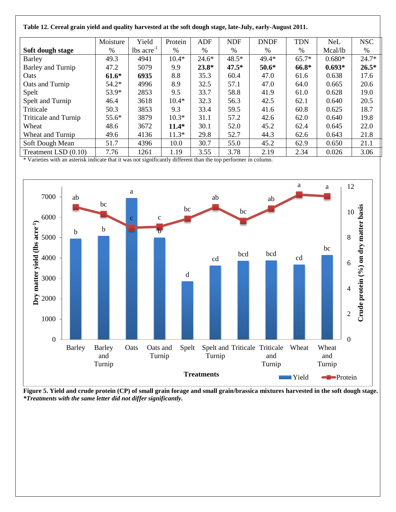| cerem grum jieni unu quang nar resteu ut inc sort uough staget mie ourjt eurij riugust 2011. |          |                          |               |         |               |             |            |            |            |  |  |
|----------------------------------------------------------------------------------------------|----------|--------------------------|---------------|---------|---------------|-------------|------------|------------|------------|--|--|
|                                                                                              | Moisture | Yield                    | Protein       | ADF     | <b>NDF</b>    | <b>DNDF</b> | <b>TDN</b> | <b>NeL</b> | <b>NSC</b> |  |  |
| Soft dough stage                                                                             | $\%$     | $lbs$ acre <sup>-1</sup> | $\frac{0}{0}$ | $\%$    | $\frac{0}{0}$ | $\%$        | $\%$       | Mcal/lb    | $\%$       |  |  |
| <b>Barley</b>                                                                                | 49.3     | 4941                     | $10.4*$       | $24.6*$ | $48.5*$       | 49.4*       | $65.7*$    | $0.680*$   | $24.7*$    |  |  |
| Barley and Turnip                                                                            | 47.2     | 5079                     | 9.9           | $23.8*$ | $47.5*$       | $50.6*$     | 66.8*      | $0.693*$   | $26.5*$    |  |  |
| <b>Oats</b>                                                                                  | $61.6*$  | 6935                     | 8.8           | 35.3    | 60.4          | 47.0        | 61.6       | 0.638      | 17.6       |  |  |
| Oats and Turnip                                                                              | $54.2*$  | 4996                     | 8.9           | 32.5    | 57.1          | 47.0        | 64.0       | 0.665      | 20.6       |  |  |
| Spelt                                                                                        | 53.9*    | 2853                     | 9.5           | 33.7    | 58.8          | 41.9        | 61.0       | 0.628      | 19.0       |  |  |
| Spelt and Turnip                                                                             | 46.4     | 3618                     | $10.4*$       | 32.3    | 56.3          | 42.5        | 62.1       | 0.640      | 20.5       |  |  |
| Triticale                                                                                    | 50.3     | 3853                     | 9.3           | 33.4    | 59.5          | 41.6        | 60.8       | 0.625      | 18.7       |  |  |
| <b>Triticale and Turnip</b>                                                                  | $55.6*$  | 3879                     | $10.3*$       | 31.1    | 57.2          | 42.6        | 62.0       | 0.640      | 19.8       |  |  |
| Wheat                                                                                        | 48.6     | 3672                     | $11.4*$       | 30.1    | 52.0          | 45.2        | 62.4       | 0.645      | 22.0       |  |  |
| Wheat and Turnip                                                                             | 49.6     | 4136                     | $11.3*$       | 29.8    | 52.7          | 44.3        | 62.6       | 0.643      | 21.8       |  |  |
| Soft Dough Mean                                                                              | 51.7     | 4396                     | 10.0          | 30.7    | 55.0          | 45.2        | 62.9       | 0.650      | 21.1       |  |  |
| Treatment LSD (0.10)                                                                         | 7.76     | 1261                     | 1.19          | 3.55    | 3.78          | 2.19        | 2.34       | 0.026      | 3.06       |  |  |

**Table 12. Cereal grain yield and quality harvested at the soft dough stage, late-July, early-August 2011.**

\* Varieties with an asterisk indicate that it was not significantly different than the top performer in column.



**Figure 5. Yield and crude protein (CP) of small grain forage and small grain/brassica mixtures harvested in the soft dough stage.** *\*Treatments with the same letter did not differ significantly.*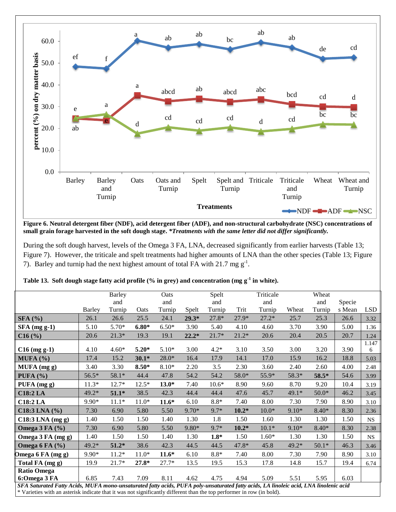

**Figure 6. Neutral detergent fiber (NDF), acid detergent fiber (ADF), and non-structural carbohydrate (NSC) concentrations of small grain forage harvested in the soft dough stage.** *\*Treatments with the same letter did not differ significantly.*

During the soft dough harvest, levels of the Omega 3 FA, LNA, decreased significantly from earlier harvests (Table 13; Figure 7). However, the triticale and spelt treatments had higher amounts of LNA than the other species (Table 13; Figure 7). Barley and turnip had the next highest amount of total FA with 21.7 mg  $g^{-1}$ .

| Table 13. Soft dough stage fatty acid profile $%$ in grey) and concentration (mg g <sup>-1</sup> in white). |                  |          |       |                     |       |                  |           |                    |        |  |  |
|-------------------------------------------------------------------------------------------------------------|------------------|----------|-------|---------------------|-------|------------------|-----------|--------------------|--------|--|--|
|                                                                                                             | Barley           |          | Oats  |                     | Spelt |                  | Triticale |                    | Wheat  |  |  |
|                                                                                                             | and              |          | and   |                     | and   |                  | and       |                    | and    |  |  |
| $D$ onlare                                                                                                  | $T_{\rm{trans}}$ | $\Gamma$ | Tumin | $C_{\text{max}}$ 14 | Tumin | $T_{\text{out}}$ | Tumin     | $W/L_{\text{out}}$ | Tumin. |  |  |

|                      |                                                                                                                                                                                                                                                                  | <b>Barley</b> |         | Oats    |         | Spelt   |         | Triticale |         | Wheat   |        |            |
|----------------------|------------------------------------------------------------------------------------------------------------------------------------------------------------------------------------------------------------------------------------------------------------------|---------------|---------|---------|---------|---------|---------|-----------|---------|---------|--------|------------|
|                      |                                                                                                                                                                                                                                                                  | and           |         | and     |         | and     |         | and       |         | and     | Specie |            |
|                      | <b>Barley</b>                                                                                                                                                                                                                                                    | Turnip        | Oats    | Turnip  | Spelt   | Turnip  | Trit    | Turnip    | Wheat   | Turnip  | s Mean | <b>LSD</b> |
| SFA(%)               | 26.1                                                                                                                                                                                                                                                             | 26.6          | 25.5    | 24.1    | $29.3*$ | 27.8*   | $27.9*$ | $27.2*$   | 25.7    | 25.3    | 26.6   | 3.32       |
| $SFA$ (mg g-1)       | 5.10                                                                                                                                                                                                                                                             | 5.70*         | $6.80*$ | $6.50*$ | 3.90    | 5.40    | 4.10    | 4.60      | 3.70    | 3.90    | 5.00   | 1.36       |
| C16(%)               | 20.6                                                                                                                                                                                                                                                             | $21.3*$       | 19.3    | 19.1    | $22.2*$ | $21.7*$ | $21.2*$ | 20.6      | 20.4    | 20.5    | 20.7   | 1.24       |
|                      |                                                                                                                                                                                                                                                                  |               |         |         |         |         |         |           |         |         |        | 1.147      |
| $C16$ (mg g-1)       | 4.10                                                                                                                                                                                                                                                             | $4.60*$       | $5.20*$ | $5.10*$ | 3.00    | $4.2*$  | 3.10    | 3.50      | 3.00    | 3.20    | 3.90   | 6          |
| MUFA (%)             | 17.4                                                                                                                                                                                                                                                             | 15.2          | $30.1*$ | $28.0*$ | 16.4    | 17.9    | 14.1    | 17.0      | 15.9    | 16.2    | 18.8   | 5.03       |
| MUFA (mg g)          | 3.40                                                                                                                                                                                                                                                             | 3.30          | $8.50*$ | 8.10*   | 2.20    | 3.5     | 2.30    | 3.60      | 2.40    | 2.60    | 4.00   | 2.48       |
| PUFA $(%)$           | $56.5*$                                                                                                                                                                                                                                                          | 58.1*         | 44.4    | 47.8    | 54.2    | 54.2    | 58.0*   | 55.9*     | 58.3*   | 58.5*   | 54.6   | 3.99       |
| PUFA (mg g)          | $11.3*$                                                                                                                                                                                                                                                          | 12.7*         | $12.5*$ | $13.0*$ | 7.40    | $10.6*$ | 8.90    | 9.60      | 8.70    | 9.20    | 10.4   | 3.19       |
| <b>C18:2 LA</b>      | $49.2*$                                                                                                                                                                                                                                                          | $51.1*$       | 38.5    | 42.3    | 44.4    | 44.4    | 47.6    | 45.7      | 49.1*   | $50.0*$ | 46.2   | 3.45       |
| <b>C18:2 LA</b>      | 9.90*                                                                                                                                                                                                                                                            | $11.1*$       | $11.0*$ | $11.6*$ | 6.10    | $8.8*$  | 7.40    | 8.00      | 7.30    | 7.90    | 8.90   | 3.10       |
| $C18:3$ LNA $(\% )$  | 7.30                                                                                                                                                                                                                                                             | 6.90          | 5.80    | 5.50    | $9.70*$ | 9.7*    | $10.2*$ | $10.0*$   | $9.10*$ | $8.40*$ | 8.30   | 2.36       |
| $C18:3$ LNA (mg g)   | 1.40                                                                                                                                                                                                                                                             | 1.50          | 1.50    | 1.40    | 1.30    | 1.8     | 1.50    | 1.60      | 1.30    | 1.30    | 1.50   | <b>NS</b>  |
| Omega $3$ FA $(\% )$ | 7.30                                                                                                                                                                                                                                                             | 6.90          | 5.80    | 5.50    | 9.80*   | $9.7*$  | $10.2*$ | $10.1*$   | $9.10*$ | $8.40*$ | 8.30   | 2.38       |
| Omega 3 FA (mg g)    | 1.40                                                                                                                                                                                                                                                             | 1.50          | 1.50    | 1.40    | 1.30    | $1.8*$  | 1.50    | $1.60*$   | 1.30    | 1.30    | 1.50   | <b>NS</b>  |
| Omega 6 FA $(\% )$   | 49.2*                                                                                                                                                                                                                                                            | $51.2*$       | 38.6    | 42.3    | 44.5    | 44.5    | 47.8*   | 45.8      | 49.2*   | $50.1*$ | 46.3   | 3.46       |
| Omega 6 FA (mg g)    | $9.90*$                                                                                                                                                                                                                                                          | $11.2*$       | $11.0*$ | $11.6*$ | 6.10    | $8.8*$  | 7.40    | 8.00      | 7.30    | 7.90    | 8.90   | 3.10       |
| Total FA (mg g)      | 19.9                                                                                                                                                                                                                                                             | 21.7*         | $27.8*$ | $27.7*$ | 13.5    | 19.5    | 15.3    | 17.8      | 14.8    | 15.7    | 19.4   | 6.74       |
| <b>Ratio Omega</b>   |                                                                                                                                                                                                                                                                  |               |         |         |         |         |         |           |         |         |        |            |
| 6: Omega 3 FA        | 6.85                                                                                                                                                                                                                                                             | 7.43          | 7.09    | 8.11    | 4.62    | 4.75    | 4.94    | 5.09      | 5.51    | 5.95    | 6.03   |            |
|                      |                                                                                                                                                                                                                                                                  |               |         |         |         |         |         |           |         |         |        |            |
|                      | SFA Saturated Fatty Acids, MUFA mono-unsaturated fatty acids, PUFA poly-unsaturated fatty acids, LA linoleic acid, LNA linolenic acid<br>$*$ Variaties with an acterisk indicate that it was not significantly different than the top performer in row (in hold) |               |         |         |         |         |         |           |         |         |        |            |

Varieties with an asterisk indicate that it was not significantly different than the top performer in row (in bold).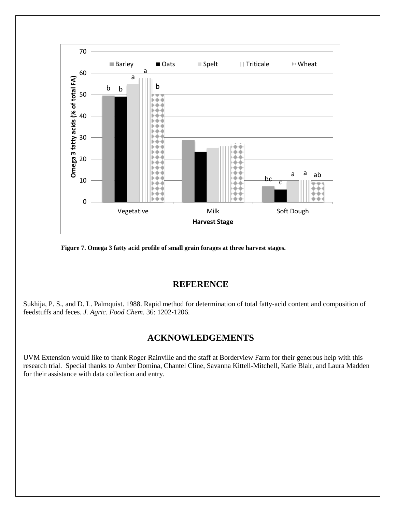

**Figure 7. Omega 3 fatty acid profile of small grain forages at three harvest stages.**

# **REFERENCE**

Sukhija, P. S., and D. L. Palmquist. 1988. Rapid method for determination of total fatty-acid content and composition of feedstuffs and feces. *J. Agric. Food Chem.* 36: 1202‐1206.

# **ACKNOWLEDGEMENTS**

UVM Extension would like to thank Roger Rainville and the staff at Borderview Farm for their generous help with this research trial. Special thanks to Amber Domina, Chantel Cline, Savanna Kittell-Mitchell, Katie Blair, and Laura Madden for their assistance with data collection and entry.